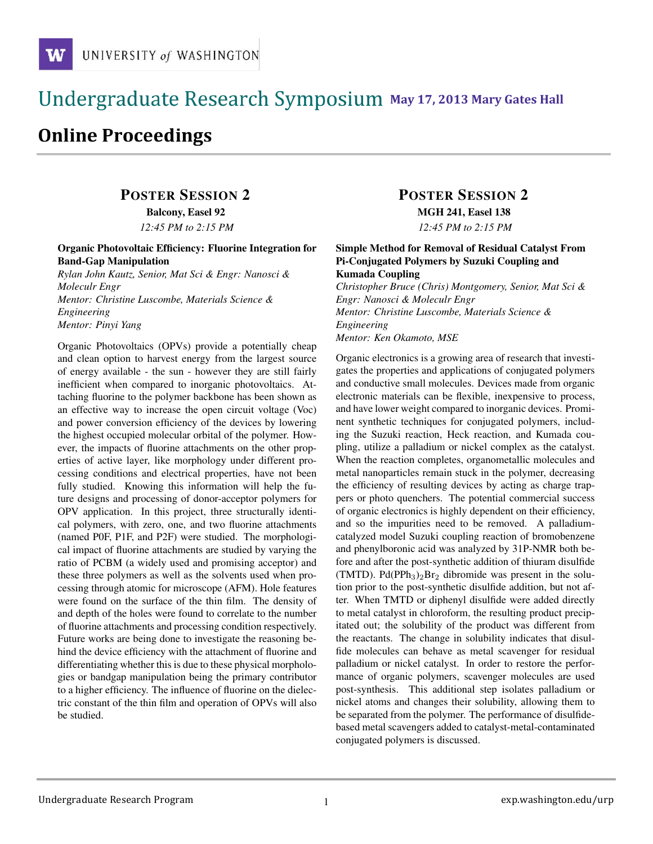### !!!!!!!!!!!!!!!!!!!!!!!!!!!!!!!!!!!!!!!!!!!!!!!!!!!!!!!!!!!!!!!!!!!!!!!!!!!!!!!!!!!!!!!!!!!!!!!!! **111 May 17, 2013 Mary Gates Hall** !!!!!!!!!!!!!!!!!!!!!!!!!!!!!!!!!!!!!!!!!!!!!!!!!!!!!!!!!!!!!!!!!!!!!!!!!!!!!!!!!!

# **Online Proceedings**

# POSTER SESSION 2

Balcony, Easel 92 *12:45 PM to 2:15 PM*

#### Organic Photovoltaic Efficiency: Fluorine Integration for Band-Gap Manipulation

*Rylan John Kautz, Senior, Mat Sci & Engr: Nanosci & Moleculr Engr Mentor: Christine Luscombe, Materials Science & Engineering Mentor: Pinyi Yang*

Organic Photovoltaics (OPVs) provide a potentially cheap and clean option to harvest energy from the largest source of energy available - the sun - however they are still fairly inefficient when compared to inorganic photovoltaics. Attaching fluorine to the polymer backbone has been shown as an effective way to increase the open circuit voltage (Voc) and power conversion efficiency of the devices by lowering the highest occupied molecular orbital of the polymer. However, the impacts of fluorine attachments on the other properties of active layer, like morphology under different processing conditions and electrical properties, have not been fully studied. Knowing this information will help the future designs and processing of donor-acceptor polymers for OPV application. In this project, three structurally identical polymers, with zero, one, and two fluorine attachments (named P0F, P1F, and P2F) were studied. The morphological impact of fluorine attachments are studied by varying the ratio of PCBM (a widely used and promising acceptor) and these three polymers as well as the solvents used when processing through atomic for microscope (AFM). Hole features were found on the surface of the thin film. The density of and depth of the holes were found to correlate to the number of fluorine attachments and processing condition respectively. Future works are being done to investigate the reasoning behind the device efficiency with the attachment of fluorine and differentiating whether this is due to these physical morphologies or bandgap manipulation being the primary contributor to a higher efficiency. The influence of fluorine on the dielectric constant of the thin film and operation of OPVs will also be studied.

## POSTER SESSION 2

MGH 241, Easel 138

*12:45 PM to 2:15 PM*

#### Simple Method for Removal of Residual Catalyst From Pi-Conjugated Polymers by Suzuki Coupling and Kumada Coupling

*Christopher Bruce (Chris) Montgomery, Senior, Mat Sci & Engr: Nanosci & Moleculr Engr Mentor: Christine Luscombe, Materials Science & Engineering Mentor: Ken Okamoto, MSE*

Organic electronics is a growing area of research that investigates the properties and applications of conjugated polymers and conductive small molecules. Devices made from organic electronic materials can be flexible, inexpensive to process, and have lower weight compared to inorganic devices. Prominent synthetic techniques for conjugated polymers, including the Suzuki reaction, Heck reaction, and Kumada coupling, utilize a palladium or nickel complex as the catalyst. When the reaction completes, organometallic molecules and metal nanoparticles remain stuck in the polymer, decreasing the efficiency of resulting devices by acting as charge trappers or photo quenchers. The potential commercial success of organic electronics is highly dependent on their efficiency, and so the impurities need to be removed. A palladiumcatalyzed model Suzuki coupling reaction of bromobenzene and phenylboronic acid was analyzed by 31P-NMR both before and after the post-synthetic addition of thiuram disulfide (TMTD). Pd(PPh<sub>3</sub>)<sub>2</sub>Br<sub>2</sub> dibromide was present in the solution prior to the post-synthetic disulfide addition, but not after. When TMTD or diphenyl disulfide were added directly to metal catalyst in chloroform, the resulting product precipitated out; the solubility of the product was different from the reactants. The change in solubility indicates that disulfide molecules can behave as metal scavenger for residual palladium or nickel catalyst. In order to restore the performance of organic polymers, scavenger molecules are used post-synthesis. This additional step isolates palladium or nickel atoms and changes their solubility, allowing them to be separated from the polymer. The performance of disulfidebased metal scavengers added to catalyst-metal-contaminated conjugated polymers is discussed.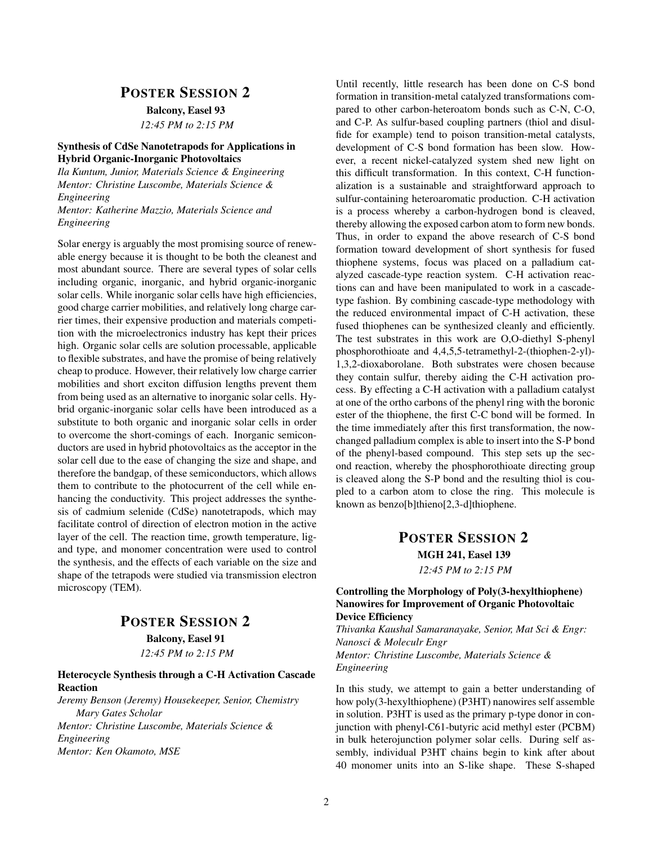### POSTER SESSION 2 Balcony, Easel 93 *12:45 PM to 2:15 PM*

#### Synthesis of CdSe Nanotetrapods for Applications in Hybrid Organic-Inorganic Photovoltaics

*Ila Kuntum, Junior, Materials Science & Engineering Mentor: Christine Luscombe, Materials Science & Engineering Mentor: Katherine Mazzio, Materials Science and Engineering*

Solar energy is arguably the most promising source of renewable energy because it is thought to be both the cleanest and most abundant source. There are several types of solar cells including organic, inorganic, and hybrid organic-inorganic solar cells. While inorganic solar cells have high efficiencies, good charge carrier mobilities, and relatively long charge carrier times, their expensive production and materials competition with the microelectronics industry has kept their prices high. Organic solar cells are solution processable, applicable to flexible substrates, and have the promise of being relatively cheap to produce. However, their relatively low charge carrier mobilities and short exciton diffusion lengths prevent them from being used as an alternative to inorganic solar cells. Hybrid organic-inorganic solar cells have been introduced as a substitute to both organic and inorganic solar cells in order to overcome the short-comings of each. Inorganic semiconductors are used in hybrid photovoltaics as the acceptor in the solar cell due to the ease of changing the size and shape, and therefore the bandgap, of these semiconductors, which allows them to contribute to the photocurrent of the cell while enhancing the conductivity. This project addresses the synthesis of cadmium selenide (CdSe) nanotetrapods, which may facilitate control of direction of electron motion in the active layer of the cell. The reaction time, growth temperature, ligand type, and monomer concentration were used to control the synthesis, and the effects of each variable on the size and shape of the tetrapods were studied via transmission electron microscopy (TEM).

### POSTER SESSION 2 Balcony, Easel 91

*12:45 PM to 2:15 PM*

#### Heterocycle Synthesis through a C-H Activation Cascade Reaction

*Jeremy Benson (Jeremy) Housekeeper, Senior, Chemistry Mary Gates Scholar Mentor: Christine Luscombe, Materials Science & Engineering Mentor: Ken Okamoto, MSE*

Until recently, little research has been done on C-S bond formation in transition-metal catalyzed transformations compared to other carbon-heteroatom bonds such as C-N, C-O, and C-P. As sulfur-based coupling partners (thiol and disulfide for example) tend to poison transition-metal catalysts, development of C-S bond formation has been slow. However, a recent nickel-catalyzed system shed new light on this difficult transformation. In this context, C-H functionalization is a sustainable and straightforward approach to sulfur-containing heteroaromatic production. C-H activation is a process whereby a carbon-hydrogen bond is cleaved, thereby allowing the exposed carbon atom to form new bonds. Thus, in order to expand the above research of C-S bond formation toward development of short synthesis for fused thiophene systems, focus was placed on a palladium catalyzed cascade-type reaction system. C-H activation reactions can and have been manipulated to work in a cascadetype fashion. By combining cascade-type methodology with the reduced environmental impact of C-H activation, these fused thiophenes can be synthesized cleanly and efficiently. The test substrates in this work are O,O-diethyl S-phenyl phosphorothioate and 4,4,5,5-tetramethyl-2-(thiophen-2-yl)- 1,3,2-dioxaborolane. Both substrates were chosen because they contain sulfur, thereby aiding the C-H activation process. By effecting a C-H activation with a palladium catalyst at one of the ortho carbons of the phenyl ring with the boronic ester of the thiophene, the first C-C bond will be formed. In the time immediately after this first transformation, the nowchanged palladium complex is able to insert into the S-P bond of the phenyl-based compound. This step sets up the second reaction, whereby the phosphorothioate directing group is cleaved along the S-P bond and the resulting thiol is coupled to a carbon atom to close the ring. This molecule is known as benzo[b]thieno[2,3-d]thiophene.

### POSTER SESSION 2 MGH 241, Easel 139 *12:45 PM to 2:15 PM*

#### Controlling the Morphology of Poly(3-hexylthiophene) Nanowires for Improvement of Organic Photovoltaic Device Efficiency

*Thivanka Kaushal Samaranayake, Senior, Mat Sci & Engr: Nanosci & Moleculr Engr Mentor: Christine Luscombe, Materials Science & Engineering*

In this study, we attempt to gain a better understanding of how poly(3-hexylthiophene) (P3HT) nanowires self assemble in solution. P3HT is used as the primary p-type donor in conjunction with phenyl-C61-butyric acid methyl ester (PCBM) in bulk heterojunction polymer solar cells. During self assembly, individual P3HT chains begin to kink after about 40 monomer units into an S-like shape. These S-shaped